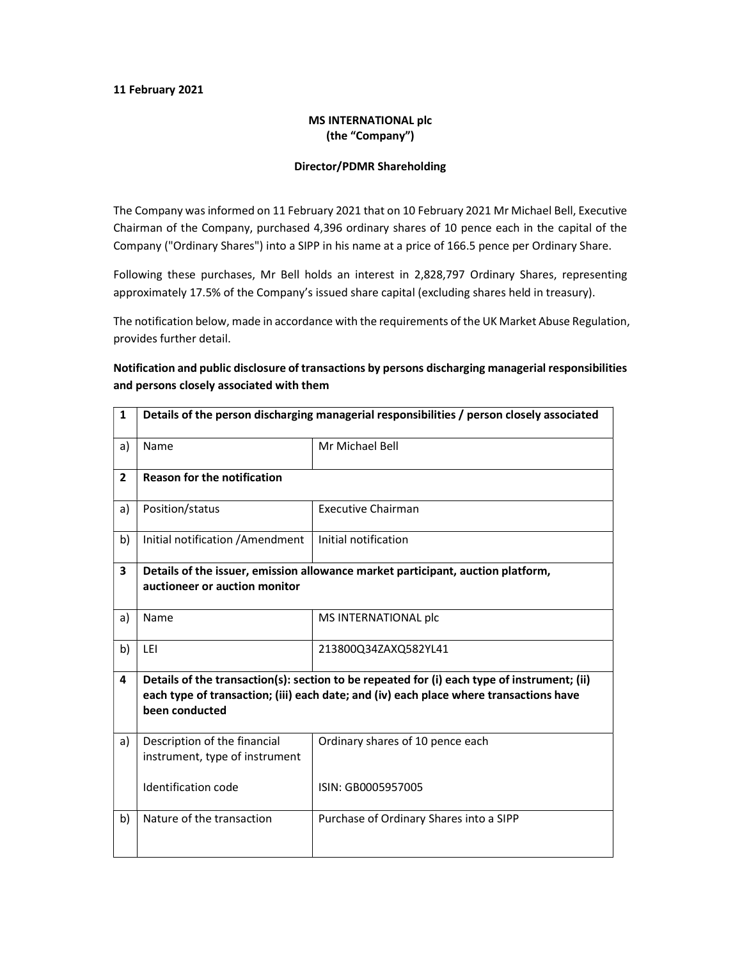#### 11 February 2021

### MS INTERNATIONAL plc (the "Company")

#### Director/PDMR Shareholding

The Company was informed on 11 February 2021 that on 10 February 2021 Mr Michael Bell, Executive Chairman of the Company, purchased 4,396 ordinary shares of 10 pence each in the capital of the Company ("Ordinary Shares") into a SIPP in his name at a price of 166.5 pence per Ordinary Share.

Following these purchases, Mr Bell holds an interest in 2,828,797 Ordinary Shares, representing approximately 17.5% of the Company's issued share capital (excluding shares held in treasury).

The notification below, made in accordance with the requirements of the UK Market Abuse Regulation, provides further detail.

## Notification and public disclosure of transactions by persons discharging managerial responsibilities and persons closely associated with them

| $\mathbf{1}$   | Details of the person discharging managerial responsibilities / person closely associated                                                                                                               |                                         |  |
|----------------|---------------------------------------------------------------------------------------------------------------------------------------------------------------------------------------------------------|-----------------------------------------|--|
| a)             | Name                                                                                                                                                                                                    | Mr Michael Bell                         |  |
| $\overline{2}$ | <b>Reason for the notification</b>                                                                                                                                                                      |                                         |  |
| a)             | Position/status                                                                                                                                                                                         | <b>Executive Chairman</b>               |  |
| b)             | Initial notification / Amendment                                                                                                                                                                        | Initial notification                    |  |
| 3              | Details of the issuer, emission allowance market participant, auction platform,                                                                                                                         |                                         |  |
|                | auctioneer or auction monitor                                                                                                                                                                           |                                         |  |
| a)             | Name                                                                                                                                                                                                    | MS INTERNATIONAL plc                    |  |
| b)             | LEI                                                                                                                                                                                                     | 213800Q34ZAXQ582YL41                    |  |
| 4              | Details of the transaction(s): section to be repeated for (i) each type of instrument; (ii)<br>each type of transaction; (iii) each date; and (iv) each place where transactions have<br>been conducted |                                         |  |
| a)             | Description of the financial<br>instrument, type of instrument                                                                                                                                          | Ordinary shares of 10 pence each        |  |
|                | Identification code                                                                                                                                                                                     | ISIN: GB0005957005                      |  |
| b)             | Nature of the transaction                                                                                                                                                                               | Purchase of Ordinary Shares into a SIPP |  |